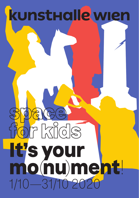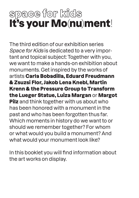# space for kids It's your Mo(nu)ment!

The third edition of our exhibition series Space for Kids is dedicated to a very important and topical subject: Together with you, we want to make a hands-on exhibition about monuments. Get inspired by the works of artists Carla Bobadilla, Eduard Freudmann & Zsuzsi Flor, Jakob Lena Knebl, Martin Krenn & the Pressure Group to Transform the Lueger Statue, Luiza Margan or Margot **Pilz** and think together with us about who has been honored with a monument in the past and who has been forgotten thus far. Which moments in history do we want to or should we remember together? For whom or what would you build a monument? And what would your monument look like?

In this booklet you will find information about the art works on display.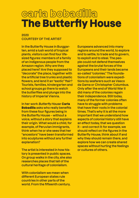## carla bobadilla The Butterfly House

### **2020 COURTESY OF THE ARTIST**

**In the Butterfly House in Burggarten, amid a lush world of tropical plants, visitors can find four lifesized figures: members of a family of an indigenous people from the Amazon region. Why are they placed here? Are they supposed to "decorate" the place, together with the artificial tree trunks and plastic flowers, and lend it an "exotic" flair? Tourists, families, kindergarten and school groups go there to watch the butterflies and plunge into the history of Imperial Vienna.** 

**In her work Butterfly House** Carla Bobadilla **asks who really benefits from these four figures being in the Butterfly House – without a voice, without a story that explains their origin. What would a child, for example, of Peruvian immigrants, think when he or she sees that her "ancestors" have been transformed into sculptures without any further explanation?**

**The artist is interested in how history is presented in public spaces. On group walks in the city, she also researches places that tell of the cultural heritage of colonialism.**

**With colonialism we mean when different European states rule countries in other parts of the world. From the fifteenth century,**  **Europeans advanced into many regions around the world, to explore and to settle, to trade and to govern, to exploit and to steal. The people could not defend themselves against the brutal forces of the Europeans and their lands became so-called "colonies." The foundations of colonialism were expeditions by seafarers such as Vasco da Gama or Christopher Columbus. Only after the end of World War II did many of the colonies regain their independence. Still today, many of the former colonies often have to struggle with problems that have their roots in the colonial times. That's why it is all the more important that we understand how aspects of colonial history still have an effect today, that we question it – and correct it: for example, we should reflect on the figures in the Butterfly House, think about if and why they should remain there, and explore how we can create shared spaces without hurting the feelings or cultures of others.**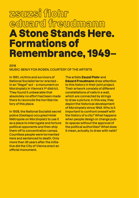### zsuzsi flohr eduard freudmann A Stone Stands Here. Formations of Remembrance, 1949–

**2016** 

### **MUSIC: BENJY FOX-ROSEN, COURTESY OF THE ARTISTS**

**In 1951, victims and survivors of National Socialist terror erected – in an "illegal" act – a monument on Morzinplatz in Vienna's 1st district. They found it unbearable that absolutely no effort had been made there to reconcile the horrible history of this place.**

**In 1938, the National Socialist secret police (Gestapo) occupied Hotel Métropole on Morzinplatz to use it as a place to interrogate and torture political opponents and then ship them off to concentration camps. Countless people were tormented here and sentenced to death. Only more than 30 years after the initiative did the City of Vienna erect an official monument.** 

**The artists** Zsuzsi Flohr **and**  Eduard Freudmann **draw attention to this history in their joint project. Their artwork consists of different constellations of nails in a wall, which are connected by strings to draw a picture. In this way, they depict the historical development of Morzinplatz since 1949. Why is it important to confront oneself with the history of a city? What happens when people design or change public spaces without the approval of the political authorities? What does it mean, actually, to draw with nails?**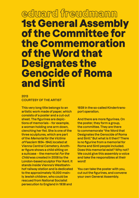### eduard freudmann 1st General Assembly of the Committee for the Commemoration of the Word that Designates the Genocide of Roma and Sinti

### **2013 COURTESY OF THE ARTIST**

**This very long title belongs to an artistic work made of paper, which consists of a poster and a cut-out sheet. The figurines are depictions of memorials – for example, a woman holding one arm down, clenching her fist. She is one of the three sculptures, which are part of the Memorial for the Victims of Fascism 1934–1945, located at Vienna Central Cemetery. Another figure shows a child sitting on a suitcase – the memorial For the Child was created in 2008 by the London-based sculptor Flor Kent. It stands inside Vienna's Westbahnhof railway station and is dedicated to the approximately 10,000 mainly Jewish children, who could be rescued from National Socialist persecution to England in 1938 and** 

**1939 in the so-called Kindertransport operation.** 

**And there are more figurines. On the poster, they form a group, the committee. They are there to commemorate "the Word that Designates the Genocide of Roma and Sinti." But what is it then? There is no figurine from a memorial for Roma and Sinti people included. Does this memorial exist? Why not? We could give this assembly a voice and take the responsibles at their word!**

**You can take the poster with you, cut out the figurines, and convene your own General Assembly.**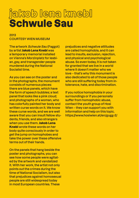## jakob lena knebl Schwule Sau

### **2013 COURTESY WIEN MUSEUM**

**The artwork Schwule Sau (Faggot) by artist** Jakob Lena Knebl **was a temporary memorial installed on Vienna's Morzinplatz for lesbian, gay, and transgender people murdered during the National Socialist time.** 

**As you can see on the poster and in the photographs, the monument consists of numerous pieces: there are blue panels, which have the form of speech bubbles; a text panel that looks like a pink cloud; and photographs of a woman, who has colorfully painted her body and written curse words on it. We know these curse words, and we are well aware that you can insult fellow students, friends, and also strangers when you use them.** Jakob Lena Knebl **wrote these words on her body quite consciously in order to get the jump on homophobes and take the power over these offensive terms out of their hands.**

**On the panels that hang beside the poster and photographs, you can see how some people were agitated by the artwork and vandalized it. With her work, the artist not only points out the crimes during the time of National Socialism, but also that prejudices against homosexual people are still widespread today in most European countries. These** 

**prejudices and negative attitudes are called homophobia, and it can lead to insults, exclusion, rejection, and physical and psychological abuse. So even today, it is not taken for granted that we live in a world where it doesn't matter who we love – that's why this monument is also dedicated to all of those people who are still suffering today from intolerance, hate, and discrimination.** 

**If you notice homophobia in your surroundings or if you personally suffer from homophobic abuse, contact the youth group of Hosi Wien – they can support you with information and help on this topic. https://www.hosiwien.at/en/gugg-2/**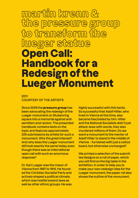# martin krenn &<br>the pressure group to transform the lueger statue Open Call: Handbook for a Redesign of the Lueger Monument

### **2011 COURTESY OF THE ARTISTS**

**Since 2009 the** pressure group **has been advocating the redesign of the Lueger monument on Stubenring square into a memorial against antisemitism and racism. The presented handbook contains texts on the topic and features approximately 220 submissions by artists for such a monument. Why the great interest? And why does the Lueger monument still look exactly the same today, even though there was an international open call with such an enormous response?** 

**Dr. Karl Lueger was the mayor of Vienna from 1897 to 1910. He founded the Christian Socialist Party and actively shaped a political climate, which was hostile toward Jews as well as other ethnic groups. He was**  **highly successful with this tactic. So successful that Adolf Hitler, who lived in Vienna at this time, also became fascinated by him. Hitler and the National Socialists didn't just attack Jews with words, they also murdered millions of them. Do we want a monument to the mentor of Adolf Hitler to stand in the middle of Vienna – furnished with just a notice board, but otherwise unchanged?** 

**We printed a selection of the submitted designs on a roll of paper, which you will find on the big table in the exhibition. In order to help you to make your own redesign idea for the Lueger monument, the paper roll also shows the outline of the monument.**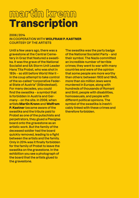## martin krenn Transcription

**2006 / 2014 IN COOPERATION WITH** WOLFRAM P. KASTNER **COURTESY OF THE ARTISTS**

**Until a few years ago, there was a gravestone at the Central Cemetery in Graz that featured a swastika. It was the grave of the National Socialist and SA Storm Unit Leader Hans Tita Probst, who was shot in 1934 – so still before World War II – in the coup attempt to take control of the so-called "corporative Federal State of Austria" (Ständestaat). For many decades, you could find the swastika – a symbol that is forbidden in Austria and Germany – on the site. In 2006, when artists** Martin Krenn **and** Wolfram P. Kastner **became aware of the swastika and the tribute paid to Probst as one of the putschists and perpetrators, they glued a Plexiglas board onto the gravestone as an artistic work. But the family of the deceased soldier had the board quickly removed, leading to a fight between the artists and the family. Only in 2014 was it finally forbidden for the family of Probst to leave the swastika on the gravestone. In the exhibition you see a photograph of the board that the artists glued to the gravestone.** 

**The swastika was the party badge of the National Socialist Party – and their symbol. The Nazis committed an incredible number of terrible crimes; they went to war with many countries and were of the opinion that some people are more worthy than others: between 1933 and 1945, more than six million Jews were murdered in Europe, along with hundreds of thousands of Romani and Sinti, people with disabilities, homosexuals, and people with different political opinions. The symbol of the swastika is inextricably linked with these crimes and therefore forbidden.**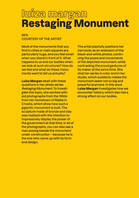## luiza margan Restaging Monument

### **2014 COURTESY OF THE ARTIST**

**Most of the monuments that you find in cities or main squares are particularly huge, and you feel small when you stand in front of it. What happens to us and our bodies when we look at such structures? How do we feel and what do these monuments want to tell us actually?**

Luiza Margan **dealt with these questions in her photo series Restaging Monument. To investigate this topic, she worked with old photographs from the 1950s from her hometown of Rijeka in Croatia, which show how such a gigantic monument is built. The sculpture made of bronze and clay was realized with the intention to impressively display the power of the government at that time. In all of the photographs, you can also see a man posing beside the monument under construction – because he is the one who came up with its form and design.** 

**The artist playfully positions her own body as an extension of the black-and-white photos, continuing the poses and movements of the depicted monument, while contrasting the proud gestures of its maker at the same time. She shot her series in color and in her studio, which suddenly makes the monument seem not so big and powerful anymore. In this work**  Luiza Margan **investigates how we encounter history, which also has a strong effect on our bodies.**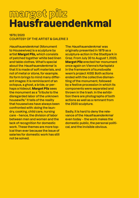## margot pilz Hausfrauendenkmal

### **1979 / 2020 COURTESY OF THE ARTIST & GALERIE 3**

**Hausfrauendenkmal (Monument to Housewives) is a sculpture by artist** Margot Pilz, **which consists of patched together white bed linen and table clothes. What's special about the Hausfrauendenkmal is that it is made of soft materials, and not of metal or stone, for example. Its form brings to mind many different images: it is reminiscent of an octopus, a ghost, a bride, or perhaps a hideout.** Margot Pilz **sees the monument as a "tribute to the disregarded labor of the unknown housewife." It tells of the reality that housewives have always been confronted with: doing the laundry, cooking, child care, nursing care – hence, the division of labor between men and women and the lack of recognition for domestic work. These themes are more topical than ever because the issue of salaries for domestic work has still not be solved.**

**The Hausfrauendenkmal was originally presented in 1979 as a sculpture-action in the Stadtpark in Graz. From July 30 to August 1, 2020,**  Margot Pilz **erected her monument once again on Vienna's Karlsplatz in the framework of kunsthalle wien's project KISS. Both actions ended with the collective dismantling of the monument, followed by a festive procession in which its components were separated and thrown in the trash. In the exhibition there are photographs of both actions as well as a remnant from the 2020 sculpture.**

**Sadly, it is hard to deny the relevance of the Hausfrauendenkmal even today – the work makes the domestic public, the personal political, and the invisible obvious.**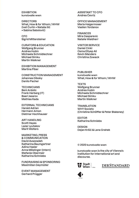**EXHIBITION kunsthalle wien**

**DIRECTORS What, How & for Whom / WHW (Ivet Ćurlin • Nataša Ilić • Sabina Sabolović)**

**CFO Sigrid Mittersteiner**

**CURATORS & EDUCATION Wolfgang Brunner Andrea Hubin Michaela Schmidlechner Michael Simku Martin Walkner**

**EXHIBITION MANAGEMENT Martina Piber**

**CONSTRUCTION MANAGEMENT Johannes Diboky Danilo Pacher**

**TECHNICIANS Beni Ardolic Frank Herberg (IT) Baari Jasarov Mathias Kada**

**EXTERNAL TECHNICIANS Harald Adrian Hermann Amon Dietmar Hochhauser**

**ART HANDLING Scott Hayes Lazar Lyutakov Marit Wolters**

**MARKETING, PRESS & COMMUNICATION David Avazzadeh Katharina Baumgartner Adina Hasler Anna Möslinger (Intern) Stefanie Obermeir Katharina Schniebs**

**FUNDRAISING & SPONSORING Maximilian Geymüller**

**EVENT MANAGEMENT Gerhard Prügger**

**ASSISTANT TO CFO Andrea Ćevriz**

**OFFICE MANAGEMENT Maria Haigermoser Vasilen Yordanov**

**FINANCES Mira Gasparevic Natalie Waldherr**

**VISITOR SERVICE Daniel Cinkl Osma Eltyep Ali Kevin Manders Christina Zowack**

**PUBLISHER kunsthalle wien What, How & for Whom / WHW**

**TEXTS Wolfgang Brunner Andrea Hubin Michaela Schmidlechner Michael Simku Martin Walkner**

**TRANSLATION WHY Society (Christine Schöffler & Peter Blakeney)**

**EDITOR Katharina Schniebs**

**DESIGN Dejan Kršić & Lana Grahek**

#### **© 2020 kunsthalle wien**

**kunsthalle wien is the city of Vienna's institution for international art and discourse.**



**DERSTANDARD**